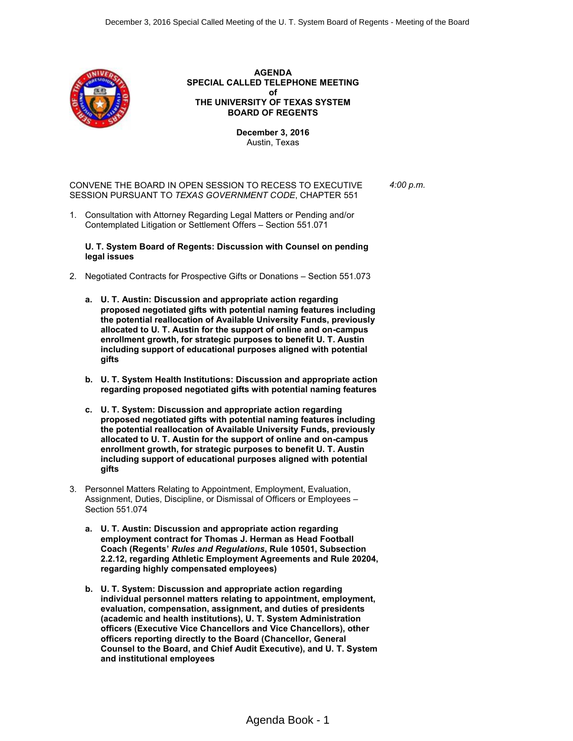

**AGENDA SPECIAL CALLED TELEPHONE MEETING of THE UNIVERSITY OF TEXAS SYSTEM BOARD OF REGENTS**

> **December 3, 2016** Austin, Texas

CONVENE THE BOARD IN OPEN SESSION TO RECESS TO EXECUTIVE SESSION PURSUANT TO *TEXAS GOVERNMENT CODE*, CHAPTER 551 *4:00 p.m.*

1. Consultation with Attorney Regarding Legal Matters or Pending and/or Contemplated Litigation or Settlement Offers – Section 551.071

**U. T. System Board of Regents: Discussion with Counsel on pending legal issues**

- 2. Negotiated Contracts for Prospective Gifts or Donations Section 551.073
	- **a. U. T. Austin: Discussion and appropriate action regarding proposed negotiated gifts with potential naming features including the potential reallocation of Available University Funds, previously allocated to U. T. Austin for the support of online and on-campus enrollment growth, for strategic purposes to benefit U. T. Austin including support of educational purposes aligned with potential gifts**
	- **b. U. T. System Health Institutions: Discussion and appropriate action regarding proposed negotiated gifts with potential naming features**
	- **c. U. T. System: Discussion and appropriate action regarding proposed negotiated gifts with potential naming features including the potential reallocation of Available University Funds, previously allocated to U. T. Austin for the support of online and on-campus enrollment growth, for strategic purposes to benefit U. T. Austin including support of educational purposes aligned with potential gifts**
- 3. Personnel Matters Relating to Appointment, Employment, Evaluation, Assignment, Duties, Discipline, or Dismissal of Officers or Employees – Section 551.074
	- **a. U. T. Austin: Discussion and appropriate action regarding employment contract for Thomas J. Herman as Head Football Coach (Regents'** *Rules and Regulations***, Rule 10501, Subsection 2.2.12, regarding Athletic Employment Agreements and Rule 20204, regarding highly compensated employees)**
	- **b. U. T. System: Discussion and appropriate action regarding individual personnel matters relating to appointment, employment, evaluation, compensation, assignment, and duties of presidents (academic and health institutions), U. T. System Administration officers (Executive Vice Chancellors and Vice Chancellors), other officers reporting directly to the Board (Chancellor, General Counsel to the Board, and Chief Audit Executive), and U. T. System and institutional employees**